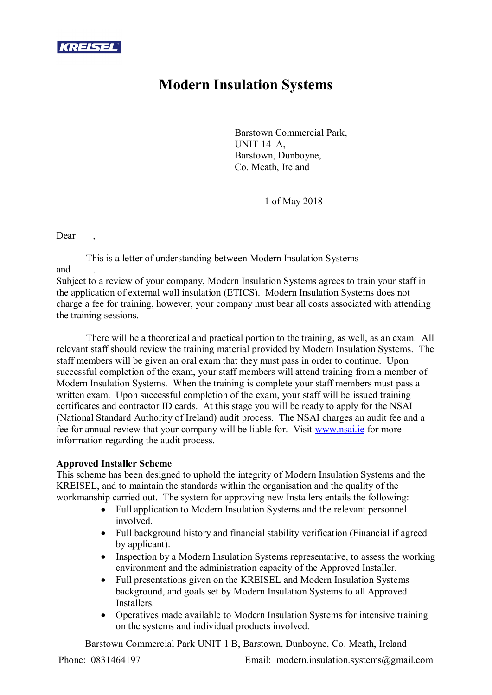

## **Modern Insulation Systems**

Barstown Commercial Park, UNIT 14 A, Barstown, Dunboyne, Co. Meath, Ireland

1 of May 2018

Dear

This is a letter of understanding between Modern Insulation Systems and

Subject to a review of your company, Modern Insulation Systems agrees to train your staff in the application of external wall insulation (ETICS). Modern Insulation Systems does not charge a fee for training, however, your company must bear all costs associated with attending the training sessions.

There will be a theoretical and practical portion to the training, as well, as an exam. All relevant staff should review the training material provided by Modern Insulation Systems. The staff members will be given an oral exam that they must pass in order to continue. Upon successful completion of the exam, your staff members will attend training from a member of Modern Insulation Systems. When the training is complete your staff members must pass a written exam. Upon successful completion of the exam, your staff will be issued training certificates and contractor ID cards. At this stage you will be ready to apply for the NSAI (National Standard Authority of Ireland) audit process. The NSAI charges an audit fee and a fee for annual review that your company will be liable for. Visit www.nsai.ie for more information regarding the audit process.

## **Approved Installer Scheme**

This scheme has been designed to uphold the integrity of Modern Insulation Systems and the KREISEL, and to maintain the standards within the organisation and the quality of the workmanship carried out. The system for approving new Installers entails the following:

- Full application to Modern Insulation Systems and the relevant personnel involved.
- Full background history and financial stability verification (Financial if agreed by applicant).
- Inspection by a Modern Insulation Systems representative, to assess the working environment and the administration capacity of the Approved Installer.
- Full presentations given on the KREISEL and Modern Insulation Systems background, and goals set by Modern Insulation Systems to all Approved **Installers**
- Operatives made available to Modern Insulation Systems for intensive training on the systems and individual products involved.

Barstown Commercial Park UNIT 1 B, Barstown, Dunboyne, Co. Meath, Ireland

Phone: 0831464197 Email: modern.insulation.systems@gmail.com